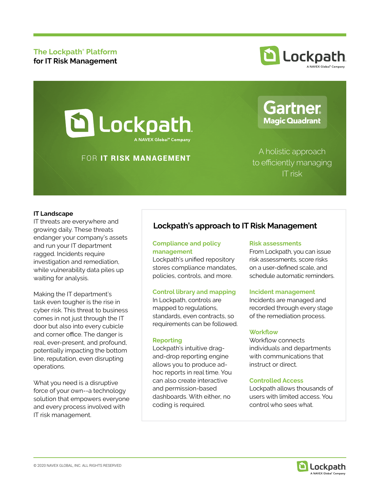# **The Lockpath® Platform for IT Risk Management**



# **D** Lockpath A NAVEX Global<sup>®</sup> Company

# FOR IT RISK MANAGEMENT

A holistic approach to efficiently managing IT risk

**Gartner** 

**Magic Quadrant** 

## **IT Landscape**

IT threats are everywhere and growing daily. These threats endanger your company's assets and run your IT department ragged. Incidents require investigation and remediation, while vulnerability data piles up waiting for analysis.

Making the IT department's task even tougher is the rise in cyber risk. This threat to business comes in not just through the IT door but also into every cubicle and corner office. The danger is real, ever-present, and profound, potentially impacting the bottom line, reputation, even disrupting operations.

What you need is a disruptive force of your own--a technology solution that empowers everyone and every process involved with IT risk management.

# **Lockpath's approach to IT Risk Management**

# **Compliance and policy management**

Lockpath's unified repository stores compliance mandates, policies, controls, and more.

## **Control library and mapping**

In Lockpath, controls are mapped to regulations, standards, even contracts, so requirements can be followed.

#### **Reporting**

Lockpath's intuitive dragand-drop reporting engine allows you to produce adhoc reports in real time. You can also create interactive and permission-based dashboards. With either, no coding is required.

#### **Risk assessments**

From Lockpath, you can issue risk assessments, score risks on a user-defined scale, and schedule automatic reminders.

#### **Incident management**

Incidents are managed and recorded through every stage of the remediation process.

#### **Workflow**

Workflow connects individuals and departments with communications that instruct or direct.

#### **Controlled Access**

Lockpath allows thousands of users with limited access. You control who sees what.